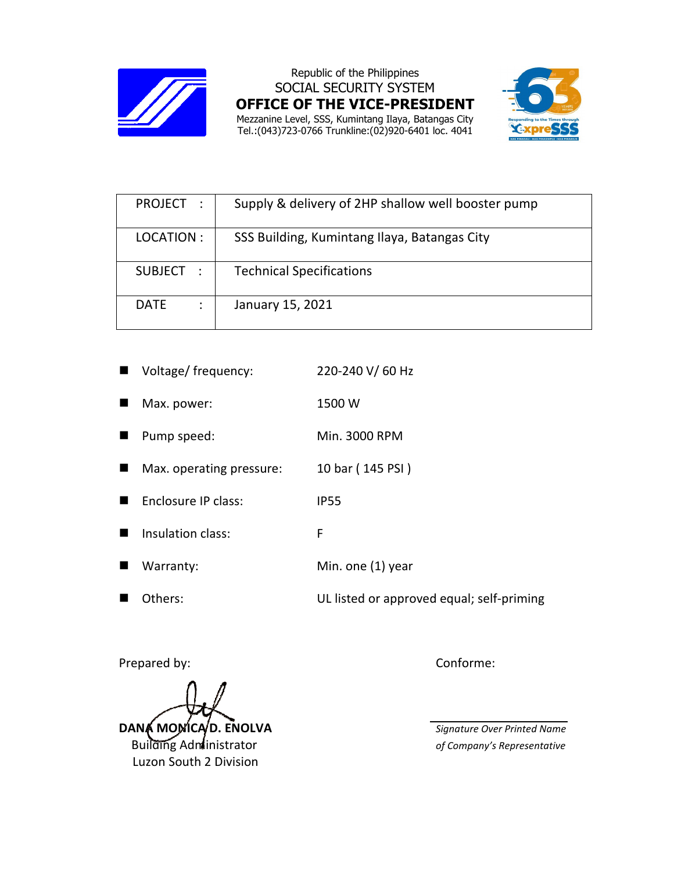

Republic of the Philippines SOCIAL SECURITY SYSTEM **OFFICE OF THE VICE-PRESIDENT**  Mezzanine Level, SSS, Kumintang Ilaya, Batangas City Tel.:(043)723-0766 Trunkline:(02)920-6401 loc. 4041



| PROJECT:    | Supply & delivery of 2HP shallow well booster pump |
|-------------|----------------------------------------------------|
| LOCATION:   | SSS Building, Kumintang Ilaya, Batangas City       |
| SUBJECT :   | <b>Technical Specifications</b>                    |
| <b>DATE</b> | January 15, 2021                                   |

| Voltage/ frequency:      | 220-240 V/60 Hz                           |
|--------------------------|-------------------------------------------|
| Max. power:              | 1500 W                                    |
| Pump speed:              | Min. 3000 RPM                             |
| Max. operating pressure: | 10 bar (145 PSI)                          |
| Enclosure IP class:      | <b>IP55</b>                               |
| Insulation class:        | F                                         |
| Warranty:                | Min. one (1) year                         |
| Others:                  | UL listed or approved equal; self-priming |

Prepared by: Conforme:

**DANA MOMICAD. ENOLVA** *Signature Over Printed Name*  Building Administrator *of Company's Representative* Luzon South 2 Division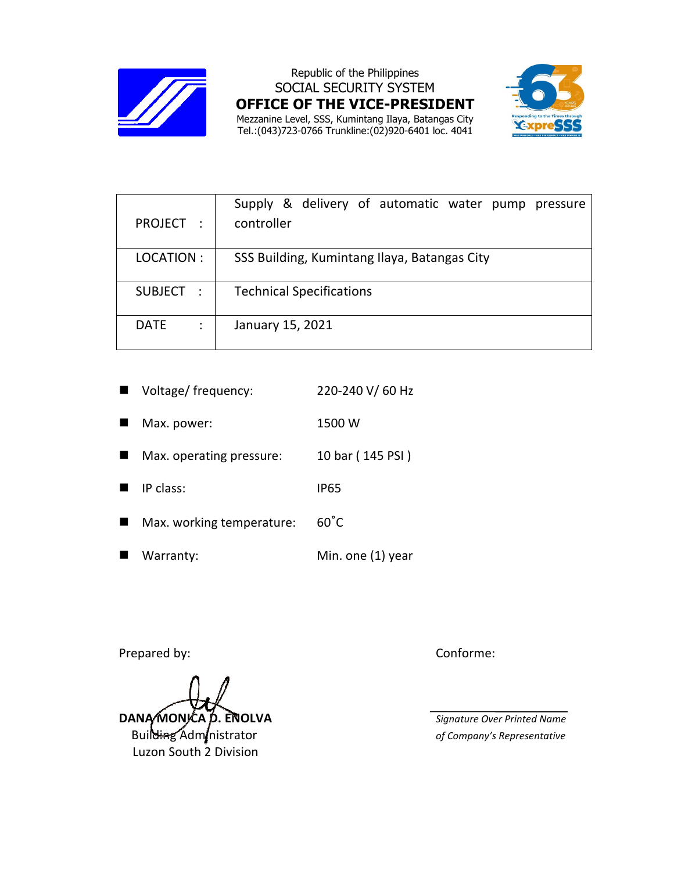

Republic of the Philippines SOCIAL SECURITY SYSTEM **OFFICE OF THE VICE-PRESIDENT**  Mezzanine Level, SSS, Kumintang Ilaya, Batangas City Tel.:(043)723-0766 Trunkline:(02)920-6401 loc. 4041



| PROJECT :        | Supply & delivery of automatic water pump pressure<br>controller |  |
|------------------|------------------------------------------------------------------|--|
| LOCATION:        | SSS Building, Kumintang Ilaya, Batangas City                     |  |
| SUBJECT :        | <b>Technical Specifications</b>                                  |  |
| <b>DATE</b><br>÷ | January 15, 2021                                                 |  |

| $\blacksquare$ | Voltage/ frequency:       | 220-240 V/60 Hz   |
|----------------|---------------------------|-------------------|
| ш              | Max. power:               | 1500 W            |
|                | Max. operating pressure:  | 10 bar (145 PSI)  |
| H.             | IP class:                 | <b>IP65</b>       |
|                | Max. working temperature: | $60^{\circ}$ C    |
|                | Warranty:                 | Min. one (1) year |

Prepared by: Conforme:

**DANA MONICA D. ENOLVA** *Signature Over Printed Name*<br>Build<del>in</del>g Adm *inistrator of Company's Representative* 

Luzon South 2 Division

 $of$  Company's Representative